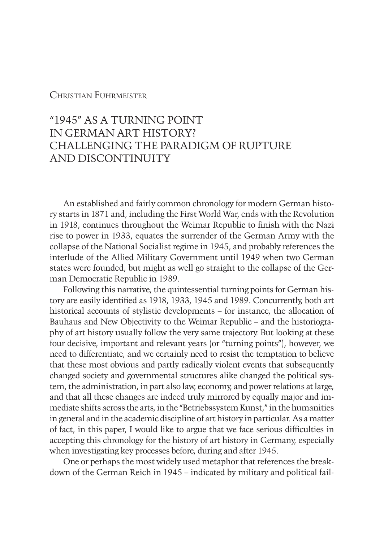## Christian Fuhrmeister

# "1945" AS A TURNING POINT IN GERMAN ART HISTORY? CHALLENGING THE PARADIGM OF RUPTURE AND DISCONTINUITY

An established and fairly common chronology for modern German history starts in 1871 and, including the First World War, ends with the Revolution in 1918, continues throughout the Weimar Republic to finish with the Nazi rise to power in 1933, equates the surrender of the German Army with the collapse of the National Socialist regime in 1945, and probably references the interlude of the Allied Military Government until 1949 when two German states were founded, but might as well go straight to the collapse of the German Democratic Republic in 1989.

Following this narrative, the quintessential turning points for German history are easily identified as 1918, 1933, 1945 and 1989. Concurrently, both art historical accounts of stylistic developments – for instance, the allocation of Bauhaus and New Objectivity to the Weimar Republic – and the historiography of art history usually follow the very same trajectory. But looking at these four decisive, important and relevant years (or "turning points"), however, we need to differentiate, and we certainly need to resist the temptation to believe that these most obvious and partly radically violent events that subsequently changed society and governmental structures alike changed the political system, the administration, in part also law, economy, and power relations at large, and that all these changes are indeed truly mirrored by equally major and immediate shifts across the arts, in the "Betriebssystem Kunst," in the humanities in general and in the academic discipline of art history in particular. As a matter of fact, in this paper, I would like to argue that we face serious difficulties in accepting this chronology for the history of art history in Germany, especially when investigating key processes before, during and after 1945.

One or perhaps the most widely used metaphor that references the breakdown of the German Reich in 1945 – indicated by military and political fail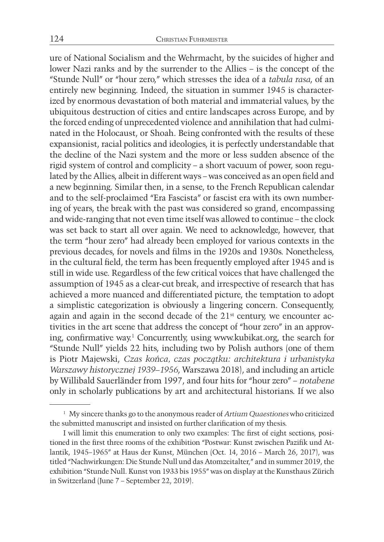ure of National Socialism and the Wehrmacht, by the suicides of higher and lower Nazi ranks and by the surrender to the Allies – is the concept of the "Stunde Null" or "hour zero," which stresses the idea of a *tabula rasa*, of an entirely new beginning. Indeed, the situation in summer 1945 is characterized by enormous devastation of both material and immaterial values, by the ubiquitous destruction of cities and entire landscapes across Europe, and by the forced ending of unprecedented violence and annihilation that had culminated in the Holocaust, or Shoah. Being confronted with the results of these expansionist, racial politics and ideologies, it is perfectly understandable that the decline of the Nazi system and the more or less sudden absence of the rigid system of control and complicity – a short vacuum of power, soon regulated by the Allies, albeit in different ways – was conceived as an open field and a new beginning. Similar then, in a sense, to the French Republican calendar and to the self-proclaimed "Era Fascista" or fascist era with its own numbering of years, the break with the past was considered so grand, encompassing and wide-ranging that not even time itself was allowed to continue – the clock was set back to start all over again. We need to acknowledge, however, that the term "hour zero" had already been employed for various contexts in the previous decades, for novels and films in the 1920s and 1930s. Nonetheless, in the cultural field, the term has been frequently employed after 1945 and is still in wide use. Regardless of the few critical voices that have challenged the assumption of 1945 as a clear-cut break, and irrespective of research that has achieved a more nuanced and differentiated picture, the temptation to adopt a simplistic categorization is obviously a lingering concern. Consequently, again and again in the second decade of the  $21<sup>st</sup>$  century, we encounter activities in the art scene that address the concept of "hour zero" in an approving, confirmative way.1 Concurrently, using www.kubikat.org, the search for "Stunde Null" yields 22 hits, including two by Polish authors (one of them is Piotr Majewski, *Czas końca, czas początku: architektura i urbanistyka Warszawy historycznej 1939–1956*, Warszawa 2018), and including an article by Willibald Sauerländer from 1997, and four hits for "hour zero" – *notabene* only in scholarly publications by art and architectural historians. If we also

<sup>1</sup> My sincere thanks go to the anonymous reader of *Artium Quaestiones* who criticized the submitted manuscript and insisted on further clarification of my thesis.

I will limit this enumeration to only two examples: The first of eight sections, positioned in the first three rooms of the exhibition "Postwar: Kunst zwischen Pazifik und Atlantik, 1945–1965" at Haus der Kunst, München (Oct. 14, 2016 – March 26, 2017), was titled "Nachwirkungen: Die Stunde Null und das Atomzeitalter," and in summer 2019, the exhibition "Stunde Null. Kunst von 1933 bis 1955" was on display at the Kunsthaus Zürich in Switzerland (June 7 – September 22, 2019).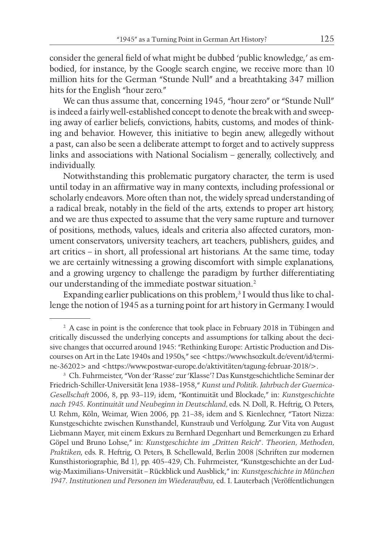consider the general field of what might be dubbed 'public knowledge,' as embodied, for instance, by the Google search engine, we receive more than 10 million hits for the German "Stunde Null" and a breathtaking 347 million hits for the English "hour zero."

We can thus assume that, concerning 1945, "hour zero" or "Stunde Null" is indeed a fairly well-established concept to denote the break with and sweeping away of earlier beliefs, convictions, habits, customs, and modes of thinking and behavior. However, this initiative to begin anew, allegedly without a past, can also be seen a deliberate attempt to forget and to actively suppress links and associations with National Socialism – generally, collectively, and individually.

Notwithstanding this problematic purgatory character, the term is used until today in an affirmative way in many contexts, including professional or scholarly endeavors. More often than not, the widely spread understanding of a radical break, notably in the field of the arts, extends to proper art history, and we are thus expected to assume that the very same rupture and turnover of positions, methods, values, ideals and criteria also affected curators, monument conservators, university teachers, art teachers, publishers, guides, and art critics – in short, all professional art historians. At the same time, today we are certainly witnessing a growing discomfort with simple explanations, and a growing urgency to challenge the paradigm by further differentiating our understanding of the immediate postwar situation.2

Expanding earlier publications on this problem, $3$  I would thus like to challenge the notion of 1945 as a turning point for art history in Germany. I would

<sup>&</sup>lt;sup>2</sup> A case in point is the conference that took place in February 2018 in Tübingen and critically discussed the underlying concepts and assumptions for talking about the decisive changes that occurred around 1945: "Rethinking Europe: Artistic Production and Discourses on Art in the Late 1940s and 1950s," see <https://www.hsozkult.de/event/id/termine-36202> and <https://www.postwar-europe.de/aktivitäten/tagung-februar-2018/>.

<sup>3</sup> Ch. Fuhrmeister, "Von der 'Rasse' zur 'Klasse'? Das Kunstgeschichtliche Seminar der Friedrich-Schiller-Universität Jena 1938–1958," *Kunst und Politik. Jahrbuch der Guernica-Gesellschaft* 2006, 8, pp. 93–119; idem, "Kontinuität und Blockade," in: *Kunstgeschichte nach 1945. Kontinuität und Neubeginn in Deutschland,* eds. N. Doll, R. Heftrig, O. Peters, U. Rehm, Köln, Weimar, Wien 2006, pp. 21–38; idem and S. Kienlechner, "Tatort Nizza: Kunstgeschichte zwischen Kunsthandel, Kunstraub und Verfolgung. Zur Vita von August Liebmann Mayer, mit einem Exkurs zu Bernhard Degenhart und Bemerkungen zu Erhard Göpel und Bruno Lohse," in: *Kunstgeschichte im "Dritten Reich". Theorien, Methoden, Praktiken*, eds. R. Heftrig, O. Peters, B. Schellewald, Berlin 2008 (Schriften zur modernen Kunsthistoriographie, Bd 1), pp. 405–429; Ch. Fuhrmeister, "Kunstgeschichte an der Ludwig-Maximilians-Universität – Rückblick und Ausblick," in: *Kunstgeschichte in München 1947. Institutionen und Personen im Wiederaufbau*, ed. I. Lauterbach (Veröffentlichungen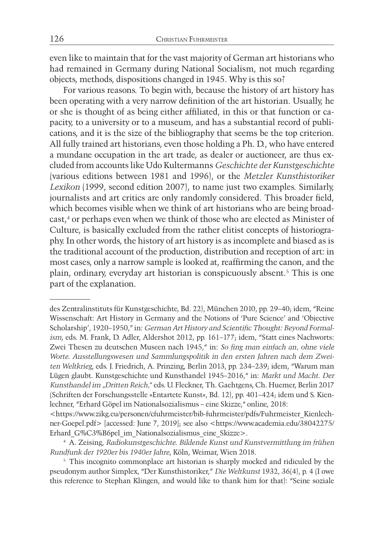even like to maintain that for the vast majority of German art historians who had remained in Germany during National Socialism, not much regarding objects, methods, dispositions changed in 1945. Why is this so?

For various reasons. To begin with, because the history of art history has been operating with a very narrow definition of the art historian. Usually, he or she is thought of as being either affiliated, in this or that function or capacity, to a university or to a museum, and has a substantial record of publications, and it is the size of the bibliography that seems be the top criterion. All fully trained art historians, even those holding a Ph. D., who have entered a mundane occupation in the art trade, as dealer or auctioneer, are thus excluded from accounts like Udo Kultermanns *Geschichte der Kunstgeschichte* (various editions between 1981 and 1996), or the *Metzler Kunsthistoriker Lexikon* (1999, second edition 2007), to name just two examples. Similarly, journalists and art critics are only randomly considered. This broader field, which becomes visible when we think of art historians who are being broadcast,<sup>4</sup> or perhaps even when we think of those who are elected as Minister of Culture, is basically excluded from the rather elitist concepts of historiography. In other words, the history of art history is as incomplete and biased as is the traditional account of the production, distribution and reception of art: in most cases, only a narrow sample is looked at, reaffirming the canon, and the plain, ordinary, everyday art historian is conspicuously absent.5 This is one part of the explanation.

des Zentralinstituts für Kunstgeschichte, Bd. 22), München 2010, pp. 29–40; idem, "Reine Wissenschaft: Art History in Germany and the Notions of 'Pure Science' and 'Objective Scholarship', 1920–1950," in: *German Art History and Scientific Thought: Beyond Formalism*, eds. M. Frank, D. Adler, Aldershot 2012, pp. 161–177; idem, "Statt eines Nachworts: Zwei Thesen zu deutschen Museen nach 1945," in: *So fing man einfach an, ohne viele Worte. Ausstellungswesen und Sammlungspolitik in den ersten Jahren nach dem Zweiten Weltkrieg*, eds. J. Friedrich, A. Prinzing, Berlin 2013, pp. 234–239; idem, "Warum man Lügen glaubt. Kunstgeschichte und Kunsthandel 1945–2016," in: *Markt und Macht. Der Kunsthandel im "Dritten Reich,"* eds. U. Fleckner, Th. Gaehtgens, Ch. Huemer, Berlin 2017 (Schriften der Forschungsstelle »Entartete Kunst«, Bd. 12), pp. 401–424; idem und S. Kienlechner, "Erhard Göpel im Nationalsozialismus – eine Skizze," online, 2018:

<sup>&</sup>lt;https://www.zikg.eu/personen/cfuhrmeister/bib-fuhrmeister/pdfs/Fuhrmeister\_Kienlechner-Goepel.pdf> [accessed: June 7, 2019]; see also <https://www.academia.edu/38042275/ Erhard\_G%C3%B6pel\_im\_Nationalsozialismus\_eine\_Skizze>.

<sup>4</sup> A. Zeising, *Radiokunstgeschichte. Bildende Kunst und Kunstvermittlung im frühen Rundfunk der 1920er bis 1940er Jahre*, Köln, Weimar, Wien 2018.

<sup>5</sup> This incognito commonplace art historian is sharply mocked and ridiculed by the pseudonym author Simplex, "Der Kunsthistoriker," *Die Weltkunst* 1932, 36(4), p. 4 (I owe this reference to Stephan Klingen, and would like to thank him for that): "Seine soziale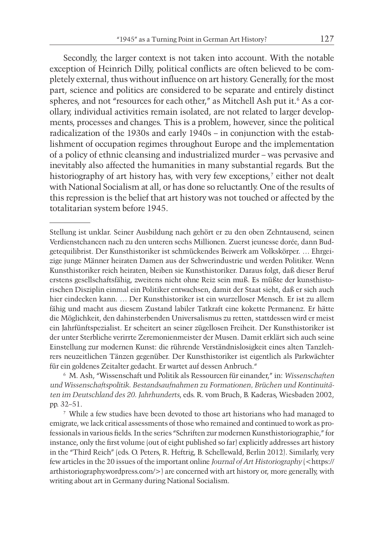Secondly, the larger context is not taken into account. With the notable exception of Heinrich Dilly, political conflicts are often believed to be completely external, thus without influence on art history. Generally, for the most part, science and politics are considered to be separate and entirely distinct spheres, and not "resources for each other," as Mitchell Ash put it.<sup>6</sup> As a corollary, individual activities remain isolated, are not related to larger developments, processes and changes. This is a problem, however, since the political radicalization of the 1930s and early 1940s – in conjunction with the establishment of occupation regimes throughout Europe and the implementation of a policy of ethnic cleansing and industrialized murder – was pervasive and inevitably also affected the humanities in many substantial regards. But the historiography of art history has, with very few exceptions,<sup>7</sup> either not dealt with National Socialism at all, or has done so reluctantly. One of the results of this repression is the belief that art history was not touched or affected by the totalitarian system before 1945.

<sup>6</sup> M. Ash, "Wissenschaft und Politik als Ressourcen für einander," in: *Wissenschaften und Wissenschaftspolitik. Bestandsaufnahmen zu Formationen, Brüchen und Kontinuitäten im Deutschland des 20. Jahrhunderts*, eds. R. vom Bruch, B. Kaderas, Wiesbaden 2002, pp. 32–51.

<sup>7</sup> While a few studies have been devoted to those art historians who had managed to emigrate, we lack critical assessments of those who remained and continued to work as professionals in various fields. In the series "Schriften zur modernen Kunsthistoriographie," for instance, only the first volume (out of eight published so far) explicitly addresses art history in the "Third Reich" (eds. O. Peters, R. Heftrig, B. Schellewald, Berlin 2012). Similarly, very few articles in the 20 issues of the important online *Journal of Art Historiography* (<https:// arthistoriography.wordpress.com/>) are concerned with art history or, more generally, with writing about art in Germany during National Socialism.

Stellung ist unklar. Seiner Ausbildung nach gehört er zu den oben Zehntausend, seinen Verdienstchancen nach zu den unteren sechs Millionen. Zuerst jeunesse dorée, dann Budgetequilibrist. Der Kunsthistoriker ist schmückendes Beiwerk am Volkskörper. … Ehrgeizige junge Männer heiraten Damen aus der Schwerindustrie und werden Politiker. Wenn Kunsthistoriker reich heiraten, bleiben sie Kunsthistoriker. Daraus folgt, daß dieser Beruf erstens gesellschaftsfähig, zweitens nicht ohne Reiz sein muß. Es müßte der kunsthistorischen Disziplin einmal ein Politiker entwachsen, damit der Staat sieht, daß er sich auch hier eindecken kann. … Der Kunsthistoriker ist ein wurzelloser Mensch. Er ist zu allem fähig und macht aus diesem Zustand labiler Tatkraft eine kokette Permanenz. Er hätte die Möglichkeit, den dahinsterbenden Universalismus zu retten, stattdessen wird er meist ein Jahrfünftspezialist. Er scheitert an seiner zügellosen Freiheit. Der Kunsthistoriker ist der unter Sterbliche verirrte Zeremonienmeister der Musen. Damit erklärt sich auch seine Einstellung zur modernen Kunst: die rührende Verständnislosigkeit eines alten Tanzlehrers neuzeitlichen Tänzen gegenüber. Der Kunsthistoriker ist eigentlich als Parkwächter für ein goldenes Zeitalter gedacht. Er wartet auf dessen Anbruch."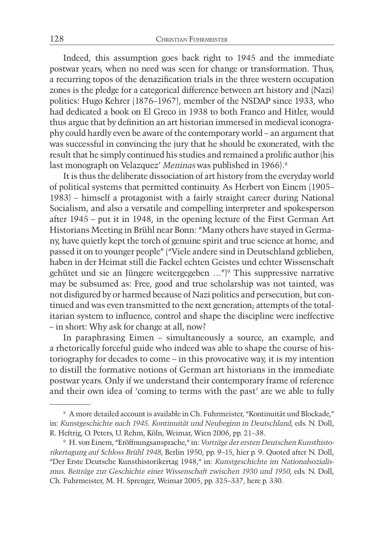Indeed, this assumption goes back right to 1945 and the immediate postwar years, when no need was seen for change or transformation. Thus, a recurring topos of the denazification trials in the three western occupation zones is the pledge for a categorical difference between art history and (Nazi) politics: Hugo Kehrer (1876–1967), member of the NSDAP since 1933, who had dedicated a book on El Greco in 1938 to both Franco and Hitler, would thus argue that by definition an art historian immersed in medieval iconography could hardly even be aware of the contemporary world – an argument that was successful in convincing the jury that he should be exonerated, with the result that he simply continued his studies and remained a prolific author (his last monograph on Velazquez' *Meninas* was published in 1966).8

It is thus the deliberate dissociation of art history from the everyday world of political systems that permitted continuity. As Herbert von Einem (1905– 1983) – himself a protagonist with a fairly straight career during National Socialism, and also a versatile and compelling interpreter and spokesperson after 1945 – put it in 1948, in the opening lecture of the First German Art Historians Meeting in Brühl near Bonn: "Many others have stayed in Germany, have quietly kept the torch of genuine spirit and true science at home, and passed it on to younger people" ("Viele andere sind in Deutschland geblieben, haben in der Heimat still die Fackel echten Geistes und echter Wissenschaft gehütet und sie an Jüngere weitergegeben …")9 This suppressive narrative may be subsumed as: Free, good and true scholarship was not tainted, was not disfigured by or harmed because of Nazi politics and persecution, but continued and was even transmitted to the next generation; attempts of the totalitarian system to influence, control and shape the discipline were ineffective – in short: Why ask for change at all, now?

In paraphrasing Eimen – simultaneously a source, an example, and a rhetorically forceful guide who indeed was able to shape the course of historiography for decades to come – in this provocative way, it is my intention to distill the formative notions of German art historians in the immediate postwar years. Only if we understand their contemporary frame of reference and their own idea of 'coming to terms with the past' are we able to fully

<sup>8</sup> A more detailed account is available in Ch. Fuhrmeister, "Kontinuität und Blockade," in: *Kunstgeschichte nach 1945. Kontinuität und Neubeginn in Deutschland*, eds. N. Doll, R. Heftrig, O. Peters, U. Rehm, Köln, Weimar, Wien 2006, pp. 21–38.

<sup>9</sup> H. von Einem, "Eröffnungsansprache," in: *Vorträge der ersten Deutschen Kunsthistorikertagung auf Schloss Brühl 1948*, Berlin 1950, pp. 9–15, hier p. 9. Quoted after N. Doll, "Der Erste Deutsche Kunsthistorikertag 1948," in: *Kunstgeschichte im Nationalsozialismus. Beiträge zur Geschichte einer Wissenschaft zwischen 1930 und 1950*, eds. N. Doll, Ch. Fuhrmeister, M. H. Sprenger, Weimar 2005, pp. 325–337, here p. 330.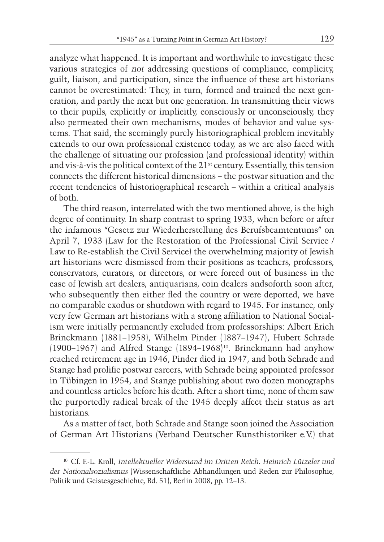analyze what happened. It is important and worthwhile to investigate these various strategies of *not* addressing questions of compliance, complicity, guilt, liaison, and participation, since the influence of these art historians cannot be overestimated: They, in turn, formed and trained the next generation, and partly the next but one generation. In transmitting their views to their pupils, explicitly or implicitly, consciously or unconsciously, they also permeated their own mechanisms, modes of behavior and value systems. That said, the seemingly purely historiographical problem inevitably extends to our own professional existence today, as we are also faced with the challenge of situating our profession (and professional identity) within and vis-à-vis the political context of the 21st century. Essentially, this tension connects the different historical dimensions – the postwar situation and the recent tendencies of historiographical research – within a critical analysis of both.

The third reason, interrelated with the two mentioned above, is the high degree of continuity. In sharp contrast to spring 1933, when before or after the infamous "Gesetz zur Wiederherstellung des Berufsbeamtentums" on April 7, 1933 (Law for the Restoration of the Professional Civil Service / Law to Re-establish the Civil Service) the overwhelming majority of Jewish art historians were dismissed from their positions as teachers, professors, conservators, curators, or directors, or were forced out of business in the case of Jewish art dealers, antiquarians, coin dealers andsoforth soon after, who subsequently then either fled the country or were deported, we have no comparable exodus or shutdown with regard to 1945. For instance, only very few German art historians with a strong affiliation to National Socialism were initially permanently excluded from professorships: Albert Erich Brinckmann (1881–1958), Wilhelm Pinder (1887–1947), Hubert Schrade (1900–1967) and Alfred Stange (1894–1968)10. Brinckmann had anyhow reached retirement age in 1946, Pinder died in 1947, and both Schrade and Stange had prolific postwar careers, with Schrade being appointed professor in Tübingen in 1954, and Stange publishing about two dozen monographs and countless articles before his death. After a short time, none of them saw the purportedly radical break of the 1945 deeply affect their status as art historians.

As a matter of fact, both Schrade and Stange soon joined the Association of German Art Historians (Verband Deutscher Kunsthistoriker e.V.) that

<sup>10</sup> Cf. F.-L. Kroll, *Intellektueller Widerstand im Dritten Reich. Heinrich Lützeler und der Nationalsozialismus* (Wissenschaftliche Abhandlungen und Reden zur Philosophie, Politik und Geistesgeschichte, Bd. 51), Berlin 2008, pp. 12–13.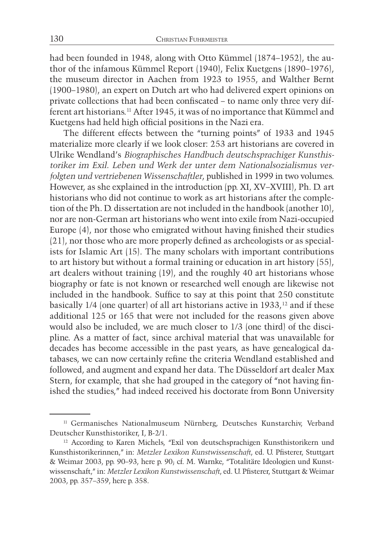had been founded in 1948, along with Otto Kümmel (1874–1952), the author of the infamous Kümmel Report (1940), Felix Kuetgens (1890–1976), the museum director in Aachen from 1923 to 1955, and Walther Bernt (1900–1980), an expert on Dutch art who had delivered expert opinions on private collections that had been confiscated – to name only three very different art historians.11 After 1945, it was of no importance that Kümmel and Kuetgens had held high official positions in the Nazi era.

The different effects between the "turning points" of 1933 and 1945 materialize more clearly if we look closer: 253 art historians are covered in Ulrike Wendland's *Biographisches Handbuch deutschsprachiger Kunsthistoriker im Exil. Leben und Werk der unter dem Nationalsozialismus verfolgten und vertriebenen Wissenschaftler*, published in 1999 in two volumes. However, as she explained in the introduction (pp. XI, XV–XVIII), Ph. D. art historians who did not continue to work as art historians after the completion of the Ph. D. dissertation are not included in the handbook (another 10), nor are non-German art historians who went into exile from Nazi-occupied Europe (4), nor those who emigrated without having finished their studies (21), nor those who are more properly defined as archeologists or as specialists for Islamic Art (15). The many scholars with important contributions to art history but without a formal training or education in art history (55), art dealers without training (19), and the roughly 40 art historians whose biography or fate is not known or researched well enough are likewise not included in the handbook. Suffice to say at this point that 250 constitute basically  $1/4$  (one quarter) of all art historians active in  $1933$ ,<sup>12</sup> and if these additional 125 or 165 that were not included for the reasons given above would also be included, we are much closer to 1/3 (one third) of the discipline. As a matter of fact, since archival material that was unavailable for decades has become accessible in the past years, as have genealogical databases, we can now certainly refine the criteria Wendland established and followed, and augment and expand her data. The Düsseldorf art dealer Max Stern, for example, that she had grouped in the category of "not having finished the studies," had indeed received his doctorate from Bonn University

<sup>&</sup>lt;sup>11</sup> Germanisches Nationalmuseum Nürnberg, Deutsches Kunstarchiv, Verband Deutscher Kunsthistoriker, I, B-2/1.

<sup>&</sup>lt;sup>12</sup> According to Karen Michels, "Exil von deutschsprachigen Kunsthistorikern und Kunsthistorikerinnen," in: *Metzler Lexikon Kunstwissenschaft*, ed. U. Pfisterer, Stuttgart & Weimar 2003, pp. 90–93, here p. 90; cf. M. Warnke, "Totalitäre Ideologien und Kunstwissenschaft," in: *Metzler Lexikon Kunstwissenschaft*, ed. U. Pfisterer, Stuttgart & Weimar 2003, pp. 357–359, here p. 358.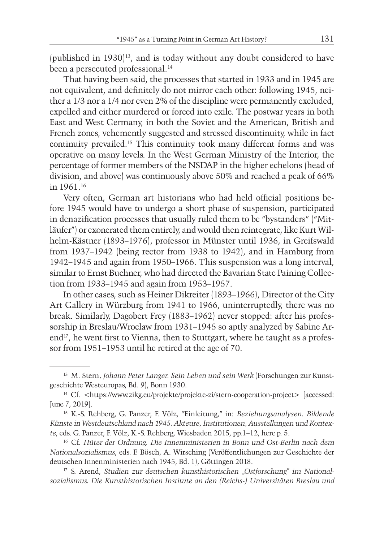(published in 1930)13, and is today without any doubt considered to have been a persecuted professional.<sup>14</sup>

That having been said, the processes that started in 1933 and in 1945 are not equivalent, and definitely do not mirror each other: following 1945, neither a 1/3 nor a 1/4 nor even 2% of the discipline were permanently excluded, expelled and either murdered or forced into exile. The postwar years in both East and West Germany, in both the Soviet and the American, British and French zones, vehemently suggested and stressed discontinuity, while in fact continuity prevailed.15 This continuity took many different forms and was operative on many levels. In the West German Ministry of the Interior, the percentage of former members of the NSDAP in the higher echelons (head of division, and above) was continuously above 50% and reached a peak of 66% in 1961.16

Very often, German art historians who had held official positions before 1945 would have to undergo a short phase of suspension, participated in denazification processes that usually ruled them to be "bystanders" ("Mitläufer") or exonerated them entirely, and would then reintegrate, like Kurt Wilhelm-Kästner (1893–1976), professor in Münster until 1936, in Greifswald from 1937–1942 (being rector from 1938 to 1942), and in Hamburg from 1942–1945 and again from 1950–1966. This suspension was a long interval, similar to Ernst Buchner, who had directed the Bavarian State Paining Collection from 1933–1945 and again from 1953–1957.

In other cases, such as Heiner Dikreiter (1893–1966), Director of the City Art Gallery in Würzburg from 1941 to 1966, uninterruptedly, there was no break. Similarly, Dagobert Frey (1883–1962) never stopped: after his professorship in Breslau/Wroclaw from 1931–1945 so aptly analyzed by Sabine Arend<sup>17</sup>, he went first to Vienna, then to Stuttgart, where he taught as a professor from 1951–1953 until he retired at the age of 70.

<sup>13</sup> M. Stern*, Johann Peter Langer. Sein Leben und sein Werk* (Forschungen zur Kunstgeschichte Westeuropas, Bd. 9), Bonn 1930.

<sup>&</sup>lt;sup>14</sup> Cf. <https://www.zikg.eu/projekte/projekte-zi/stern-cooperation-project> [accessed: June 7, 2019].

<sup>15</sup> K.-S. Rehberg, G. Panzer, F. Völz, "Einleitung," in: *Beziehungsanalysen. Bildende Künste in Westdeutschland nach 1945. Akteure, Institutionen, Ausstellungen und Kontexte*, eds. G. Panzer, F. Völz, K.-S. Rehberg, Wiesbaden 2015, pp.1–12, here p. 5.

<sup>16</sup> Cf. *Hüter der Ordnung. Die Innenministerien in Bonn und Ost-Berlin nach dem Nationalsozialismus*, eds. F. Bösch, A. Wirsching (Veröffentlichungen zur Geschichte der deutschen Innenministerien nach 1945, Bd. 1), Göttingen 2018.

<sup>&</sup>lt;sup>17</sup> S. Arend, *Studien zur deutschen kunsthistorischen* "Ostforschung" im National*sozialismus. Die Kunsthistorischen Institute an den (Reichs-) Universitäten Breslau und*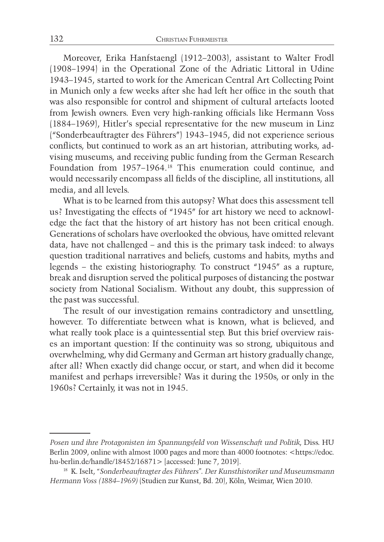Moreover, Erika Hanfstaengl (1912–2003), assistant to Walter Frodl (1908–1994) in the Operational Zone of the Adriatic Littoral in Udine 1943–1945, started to work for the American Central Art Collecting Point in Munich only a few weeks after she had left her office in the south that was also responsible for control and shipment of cultural artefacts looted from Jewish owners. Even very high-ranking officials like Hermann Voss (1884–1969), Hitler's special representative for the new museum in Linz ("Sonderbeauftragter des Führers") 1943–1945, did not experience serious conflicts, but continued to work as an art historian, attributing works, advising museums, and receiving public funding from the German Research Foundation from 1957–1964.18 This enumeration could continue, and would necessarily encompass all fields of the discipline, all institutions, all media, and all levels.

What is to be learned from this autopsy? What does this assessment tell us? Investigating the effects of "1945" for art history we need to acknowledge the fact that the history of art history has not been critical enough. Generations of scholars have overlooked the obvious, have omitted relevant data, have not challenged – and this is the primary task indeed: to always question traditional narratives and beliefs, customs and habits, myths and legends – the existing historiography. To construct "1945" as a rupture, break and disruption served the political purposes of distancing the postwar society from National Socialism. Without any doubt, this suppression of the past was successful.

The result of our investigation remains contradictory and unsettling, however. To differentiate between what is known, what is believed, and what really took place is a quintessential step. But this brief overview raises an important question: If the continuity was so strong, ubiquitous and overwhelming, why did Germany and German art history gradually change, after all? When exactly did change occur, or start, and when did it become manifest and perhaps irreversible? Was it during the 1950s, or only in the 1960s? Certainly, it was not in 1945.

*Posen und ihre Protagonisten im Spannungsfeld von Wissenschaft und Politik*, Diss. HU Berlin 2009, online with almost 1000 pages and more than 4000 footnotes: <https://edoc. hu-berlin.de/handle/18452/16871> [accessed: June 7, 2019].

<sup>18</sup> K. Iselt, *"Sonderbeauftragter des Führers". Der Kunsthistoriker und Museumsmann Hermann Voss (1884–1969)* (Studien zur Kunst, Bd. 20), Köln, Weimar, Wien 2010.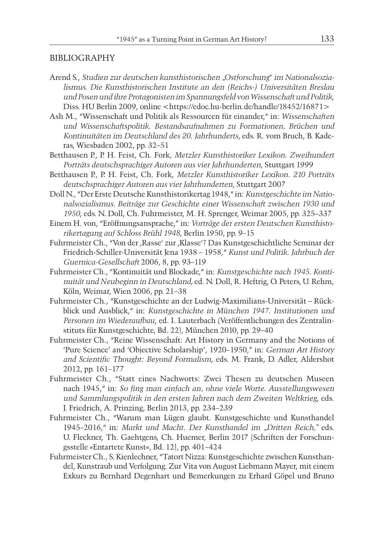#### BIBLIOGRAPHY

- Arend S., *Studien zur deutschen kunsthistorischen "Ostforschung" im Nationalsozialismus. Die Kunsthistorischen Institute an den (Reichs-) Universitäten Breslau und Posen und ihre Protagonisten im Spannungsfeld von Wissenschaft und Politik*, Diss. HU Berlin 2009, online <https://edoc.hu-berlin.de/handle/18452/16871>
- Ash M., "Wissenschaft und Politik als Ressourcen für einander," in: *Wissenschaften und Wissenschaftspolitik. Bestandsaufnahmen zu Formationen, Brüchen und Kontinuitäten im Deutschland des 20. Jahrhunderts*, eds. R. vom Bruch, B. Kaderas, Wiesbaden 2002, pp. 32–51
- Betthausen P., P. H. Feist, Ch. Fork, *Metzler Kunsthistoriker Lexikon. Zweihundert Porträts deutschsprachiger Autoren aus vier Jahrhunderten*, Stuttgart 1999
- Betthausen P., P. H. Feist, Ch. Fork, *Metzler Kunsthistoriker Lexikon. 210 Porträts deutschsprachiger Autoren aus vier Jahrhunderten*, Stuttgart 2007
- Doll N., "Der Erste Deutsche Kunsthistorikertag 1948," in: *Kunstgeschichte im Nationalsozialismus. Beiträge zur Geschichte einer Wissenschaft zwischen 1930 und 1950*, eds. N. Doll, Ch. Fuhrmeister, M. H. Sprenger, Weimar 2005, pp. 325–337
- Einem H. von, "Eröffnungsansprache," in: *Vorträge der ersten Deutschen Kunsthistorikertagung auf Schloss Brühl 1948*, Berlin 1950, pp. 9–15
- Fuhrmeister Ch., "Von der ,Rasse' zur ,Klasse'? Das Kunstgeschichtliche Seminar der Friedrich-Schiller-Universität Jena 1938 – 1958," *Kunst und Politik. Jahrbuch der Guernica-Gesellschaft* 2006, 8, pp. 93–119
- Fuhrmeister Ch., "Kontinuität und Blockade," in: *Kunstgeschichte nach 1945. Kontinuität und Neubeginn in Deutschland*, ed. N. Doll, R. Heftrig, O. Peters, U. Rehm, Köln, Weimar, Wien 2006, pp. 21–38
- Fuhrmeister Ch., "Kunstgeschichte an der Ludwig-Maximilians-Universität Rückblick und Ausblick," in: *Kunstgeschichte in München 1947. Institutionen und Personen im Wiederaufbau*, ed. I. Lauterbach (Veröffentlichungen des Zentralinstituts für Kunstgeschichte, Bd. 22), München 2010, pp. 29–40
- Fuhrmeister Ch., "Reine Wissenschaft: Art History in Germany and the Notions of 'Pure Science' and 'Objective Scholarship', 1920–1950," in: *German Art History and Scientific Thought: Beyond Formalism*, eds. M. Frank, D. Adler, Aldershot 2012, pp. 161–177
- Fuhrmeister Ch., "Statt eines Nachworts: Zwei Thesen zu deutschen Museen nach 1945," in: *So fing man einfach an, ohne viele Worte. Ausstellungswesen und Sammlungspolitik in den ersten Jahren nach dem Zweiten Weltkrieg*, eds. J. Friedrich, A. Prinzing, Berlin 2013, pp. 234–239
- Fuhrmeister Ch., "Warum man Lügen glaubt. Kunstgeschichte und Kunsthandel 1945–2016," in: *Markt und Macht. Der Kunsthandel im "Dritten Reich,"* eds. U. Fleckner, Th. Gaehtgens, Ch. Huemer, Berlin 2017 (Schriften der Forschungsstelle »Entartete Kunst«, Bd. 12), pp. 401–424
- Fuhrmeister Ch., S. Kienlechner, "Tatort Nizza: Kunstgeschichte zwischen Kunsthandel, Kunstraub und Verfolgung. Zur Vita von August Liebmann Mayer, mit einem Exkurs zu Bernhard Degenhart und Bemerkungen zu Erhard Göpel und Bruno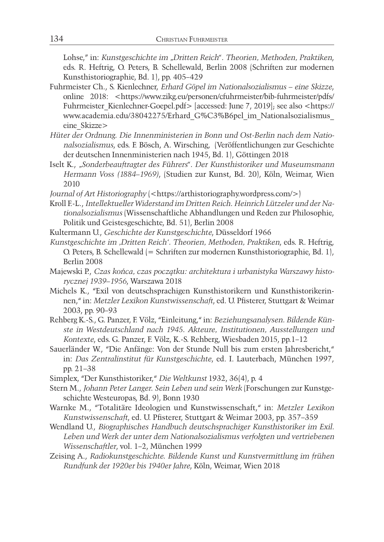Lohse," in: *Kunstgeschichte im "Dritten Reich". Theorien, Methoden, Praktiken*, eds. R. Heftrig, O. Peters, B. Schellewald, Berlin 2008 (Schriften zur modernen Kunsthistoriographie, Bd. 1), pp. 405–429

- Fuhrmeister Ch., S. Kienlechner, *Erhard Göpel im Nationalsozialismus eine Skizze*, online 2018: <https://www.zikg.eu/personen/cfuhrmeister/bib-fuhrmeister/pdfs/ Fuhrmeister\_Kienlechner-Goepel.pdf> [accessed: June 7, 2019]; see also <https:// www.academia.edu/38042275/Erhard\_G%C3%B6pel\_im\_Nationalsozialismus\_ eine\_Skizze>
- *Hüter der Ordnung. Die Innenministerien in Bonn und Ost-Berlin nach dem Nationalsozialismus*, eds. F. Bösch, A. Wirsching, (Veröffentlichungen zur Geschichte der deutschen Innenministerien nach 1945, Bd. 1), Göttingen 2018
- Iselt K., *"Sonderbeauftragter des Führers". Der Kunsthistoriker und Museumsmann Hermann Voss (1884–1969)*, (Studien zur Kunst, Bd. 20), Köln, Weimar, Wien 2010
- *Journal of Art Historiography* (<https://arthistoriography.wordpress.com/>)
- Kroll F.-L., *Intellektueller Widerstand im Dritten Reich. Heinrich Lützeler und der Nationalsozialismus* (Wissenschaftliche Abhandlungen und Reden zur Philosophie, Politik und Geistesgeschichte, Bd. 51), Berlin 2008
- Kultermann U., *Geschichte der Kunstgeschichte*, Düsseldorf 1966
- *Kunstgeschichte im 'Dritten Reich'. Theorien, Methoden, Praktiken*, eds. R. Heftrig, O. Peters, B. Schellewald (= Schriften zur modernen Kunsthistoriographie, Bd. 1), Berlin 2008
- Majewski P., *Czas końca, czas początku: architektura i urbanistyka Warszawy historycznej 1939–1956*, Warszawa 2018
- Michels K., "Exil von deutschsprachigen Kunsthistorikern und Kunsthistorikerinnen," in: *Metzler Lexikon Kunstwissenschaft*, ed. U. Pfisterer, Stuttgart & Weimar 2003, pp. 90–93
- Rehberg K.-S., G. Panzer, F. Völz, "Einleitung," in: *Beziehungsanalysen. Bildende Künste in Westdeutschland nach 1945. Akteure, Institutionen, Ausstellungen und Kontexte*, eds. G. Panzer, F. Völz, K.-S. Rehberg, Wiesbaden 2015, pp.1–12
- Sauerländer W., "Die Anfänge: Von der Stunde Null bis zum ersten Jahresbericht," in: *Das Zentralinstitut für Kunstgeschichte*, ed. I. Lauterbach, München 1997, pp. 21–38
- Simplex, "Der Kunsthistoriker," *Die Weltkunst* 1932, 36(4), p. 4
- Stern M., *Johann Peter Langer. Sein Leben und sein Werk* (Forschungen zur Kunstgeschichte Westeuropas, Bd. 9), Bonn 1930
- Warnke M., "Totalitäre Ideologien und Kunstwissenschaft," in: *Metzler Lexikon Kunstwissenschaft*, ed. U. Pfisterer, Stuttgart & Weimar 2003, pp. 357–359
- Wendland U., *Biographisches Handbuch deutschsprachiger Kunsthistoriker im Exil. Leben und Werk der unter dem Nationalsozialismus verfolgten und vertriebenen Wissenschaftler*, vol. 1–2, München 1999
- Zeising A., *Radiokunstgeschichte. Bildende Kunst und Kunstvermittlung im frühen Rundfunk der 1920er bis 1940er Jahre*, Köln, Weimar, Wien 2018